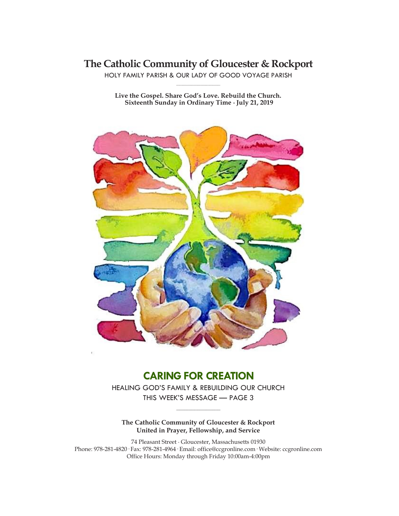# **The Catholic Community of Gloucester & Rockport**

HOLY FAMILY PARISH & OUR LADY OF GOOD VOYAGE PARISH **\_\_\_\_\_\_\_\_\_\_\_\_\_\_\_\_\_\_\_\_\_\_\_\_\_\_\_\_\_**

**Live the Gospel. Share God's Love. Rebuild the Church. Sixteenth Sunday in Ordinary Time ∙ July 21, 2019**



# **CARING FOR CREATION**

HEALING GOD'S FAMILY & REBUILDING OUR CHURCH THIS WEEK'S MESSAGE — PAGE 3

**\_\_\_\_\_\_\_\_\_\_\_\_\_\_\_\_\_\_\_\_\_\_\_\_\_\_\_\_\_**

### **The Catholic Community of Gloucester & Rockport United in Prayer, Fellowship, and Service**

74 Pleasant Street ∙ Gloucester, Massachusetts 01930 Phone: 978-281-4820· Fax: 978-281-4964· Email: office@ccgronline.com· Website: ccgronline.com Office Hours: Monday through Friday 10:00am-4:00pm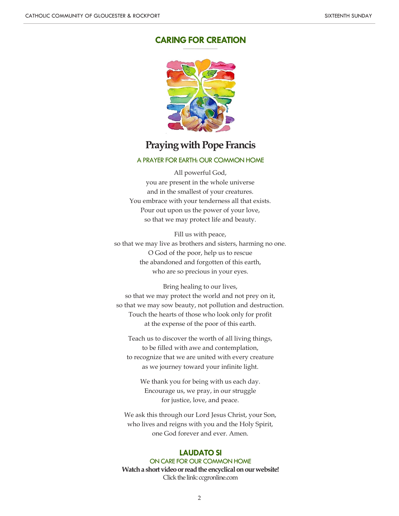# **CARING FOR CREATION**



**\_\_\_\_\_\_\_\_\_\_\_\_\_\_\_\_\_\_\_\_\_**

# **Praying with Pope Francis**

#### A PRAYER FOR EARTH: OUR COMMON HOME

All powerful God, you are present in the whole universe and in the smallest of your creatures. You embrace with your tenderness all that exists. Pour out upon us the power of your love, so that we may protect life and beauty.

Fill us with peace, so that we may live as brothers and sisters, harming no one. O God of the poor, help us to rescue the abandoned and forgotten of this earth, who are so precious in your eyes.

Bring healing to our lives, so that we may protect the world and not prey on it, so that we may sow beauty, not pollution and destruction. Touch the hearts of those who look only for profit at the expense of the poor of this earth.

Teach us to discover the worth of all living things, to be filled with awe and contemplation, to recognize that we are united with every creature as we journey toward your infinite light.

We thank you for being with us each day. Encourage us, we pray, in our struggle for justice, love, and peace.

We ask this through our Lord Jesus Christ, your Son, who lives and reigns with you and the Holy Spirit, one God forever and ever. Amen.

#### **LAUDATO SI**

ON CARE FOR OUR COMMON HOME **Watch a short video or read the encyclical on our website!** Click the link: ccgronline.com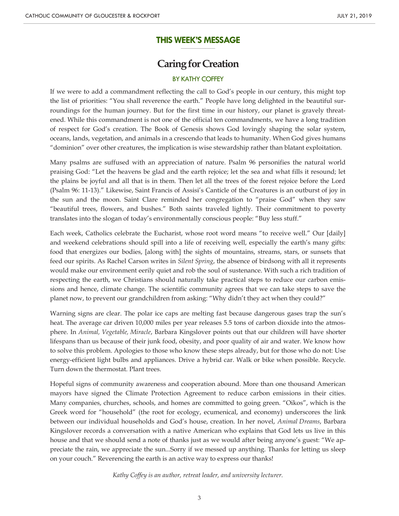#### **THIS WEEK'S MESSAGE \_\_\_\_\_\_\_\_\_\_\_\_\_\_\_\_\_\_\_\_\_**

# **Caring for Creation**

## BY KATHY COFFEY

If we were to add a commandment reflecting the call to God's people in our century, this might top the list of priorities: "You shall reverence the earth." People have long delighted in the beautiful surroundings for the human journey. But for the first time in our history, our planet is gravely threatened. While this commandment is not one of the official ten commandments, we have a long tradition of respect for God's creation. The Book of Genesis shows God lovingly shaping the solar system, oceans, lands, vegetation, and animals in a crescendo that leads to humanity. When God gives humans "dominion" over other creatures, the implication is wise stewardship rather than blatant exploitation.

Many psalms are suffused with an appreciation of nature. Psalm 96 personifies the natural world praising God: "Let the heavens be glad and the earth rejoice; let the sea and what fills it resound; let the plains be joyful and all that is in them. Then let all the trees of the forest rejoice before the Lord (Psalm 96: 11-13)." Likewise, Saint Francis of Assisi's Canticle of the Creatures is an outburst of joy in the sun and the moon. Saint Clare reminded her congregation to "praise God" when they saw "beautiful trees, flowers, and bushes." Both saints traveled lightly. Their commitment to poverty translates into the slogan of today's environmentally conscious people: "Buy less stuff."

Each week, Catholics celebrate the Eucharist, whose root word means "to receive well." Our [daily] and weekend celebrations should spill into a life of receiving well, especially the earth's many gifts: food that energizes our bodies, [along with] the sights of mountains, streams, stars, or sunsets that feed our spirits. As Rachel Carson writes in *Silent Spring*, the absence of birdsong with all it represents would make our environment eerily quiet and rob the soul of sustenance. With such a rich tradition of respecting the earth, we Christians should naturally take practical steps to reduce our carbon emissions and hence, climate change. The scientific community agrees that we can take steps to save the planet now, to prevent our grandchildren from asking: "Why didn't they act when they could?"

Warning signs are clear. The polar ice caps are melting fast because dangerous gases trap the sun's heat. The average car driven 10,000 miles per year releases 5.5 tons of carbon dioxide into the atmosphere. In *Animal, Vegetable, Miracle*, Barbara Kingslover points out that our children will have shorter lifespans than us because of their junk food, obesity, and poor quality of air and water. We know how to solve this problem. Apologies to those who know these steps already, but for those who do not: Use energy-efficient light bulbs and appliances. Drive a hybrid car. Walk or bike when possible. Recycle. Turn down the thermostat. Plant trees.

Hopeful signs of community awareness and cooperation abound. More than one thousand American mayors have signed the Climate Protection Agreement to reduce carbon emissions in their cities. Many companies, churches, schools, and homes are committed to going green. "Oikos", which is the Greek word for "household" (the root for ecology, ecumenical, and economy) underscores the link between our individual households and God's house, creation. In her novel, *Animal Dreams*, Barbara Kingslover records a conversation with a native American who explains that God lets us live in this house and that we should send a note of thanks just as we would after being anyone's guest: "We appreciate the rain, we appreciate the sun...Sorry if we messed up anything. Thanks for letting us sleep on your couch." Reverencing the earth is an active way to express our thanks!

*Kathy Coffey is an author, retreat leader, and university lecturer.*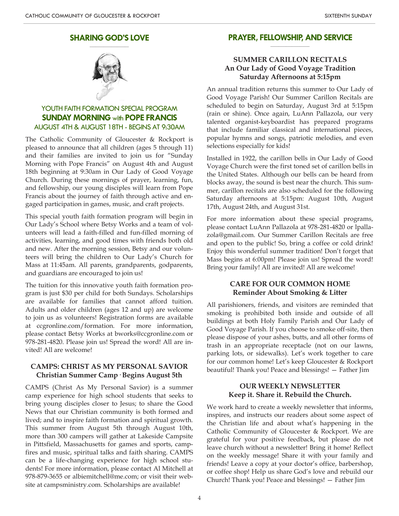#### **SHARING GOD'S LOVE \_\_\_\_\_\_\_\_\_\_\_\_\_\_\_\_\_\_\_\_**



# YOUTH FAITH FORMATION SPECIAL PROGRAM **SUNDAY MORNING** with **POPE FRANCIS** AUGUST 4TH & AUGUST 18TH - BEGINS AT 9:30AM

The Catholic Community of Gloucester & Rockport is pleased to announce that all children (ages 5 through 11) and their families are invited to join us for "Sunday Morning with Pope Francis" on August 4th and August 18th beginning at 9:30am in Our Lady of Good Voyage Church. During these mornings of prayer, learning, fun, and fellowship, our young disciples will learn from Pope Francis about the journey of faith through active and engaged participation in games, music, and craft projects.

This special youth faith formation program will begin in Our Lady's School where Betsy Works and a team of volunteers will lead a faith-filled and fun-filled morning of activities, learning, and good times with friends both old and new. After the morning session, Betsy and our volunteers will bring the children to Our Lady's Church for Mass at 11:45am. All parents, grandparents, godparents, and guardians are encouraged to join us!

The tuition for this innovative youth faith formation program is just \$30 per child for both Sundays. Scholarships are available for families that cannot afford tuition. Adults and older children (ages 12 and up) are welcome to join us as volunteers! Registration forms are available at ccgronline.com/formation. For more information, please contact Betsy Works at bworks@ccgronline.com or 978-281-4820. Please join us! Spread the word! All are invited! All are welcome!

## **CAMPS: CHRIST AS MY PERSONAL SAVIOR Christian Summer Camp· Begins August 5th**

CAMPS (Christ As My Personal Savior) is a summer camp experience for high school students that seeks to bring young disciples closer to Jesus; to share the Good News that our Christian community is both formed and lived; and to inspire faith formation and spiritual growth. This summer from August 5th through August 10th, more than 300 campers will gather at Lakeside Campsite in Pittsfield, Massachusetts for games and sports, campfires and music, spiritual talks and faith sharing. CAMPS can be a life-changing experience for high school students! For more information, please contact Al Mitchell at 978-879-3655 or albiemitchell@me.com; or visit their website at campsministry.com. Scholarships are available!

#### **PRAYER, FELLOWSHIP, AND SERVICE \_\_\_\_\_\_\_\_\_\_\_\_\_\_\_\_\_\_\_\_**

# **SUMMER CARILLON RECITALS An Our Lady of Good Voyage Tradition Saturday Afternoons at 5:15pm**

An annual tradition returns this summer to Our Lady of Good Voyage Parish! Our Summer Carillon Recitals are scheduled to begin on Saturday, August 3rd at 5:15pm (rain or shine). Once again, LuAnn Pallazola, our very talented organist-keyboardist has prepared programs that include familiar classical and international pieces, popular hymns and songs, patriotic melodies, and even selections especially for kids!

Installed in 1922, the carillon bells in Our Lady of Good Voyage Church were the first toned set of carillon bells in the United States. Although our bells can be heard from blocks away, the sound is best near the church. This summer, carillon recitals are also scheduled for the following Saturday afternoons at 5:15pm: August 10th, August 17th, August 24th, and August 31st.

For more information about these special programs, please contact LuAnn Pallazola at 978-281-4820 or lpallazola@gmail.com. Our Summer Carillon Recitals are free and open to the public! So, bring a coffee or cold drink! Enjoy this wonderful summer tradition! Don't forget that Mass begins at 6:00pm! Please join us! Spread the word! Bring your family! All are invited! All are welcome!

### **CARE FOR OUR COMMON HOME Reminder About Smoking & Litter**

All parishioners, friends, and visitors are reminded that smoking is prohibited both inside and outside of all buildings at both Holy Family Parish and Our Lady of Good Voyage Parish. If you choose to smoke off-site, then please dispose of your ashes, butts, and all other forms of trash in an appropriate receptacle (not on our lawns, parking lots, or sidewalks). Let's work together to care for our common home! Let's keep Gloucester & Rockport beautiful! Thank you! Peace and blessings! — Father Jim

## **OUR WEEKLY NEWSLETTER Keep it. Share it. Rebuild the Church.**

We work hard to create a weekly newsletter that informs, inspires, and instructs our readers about some aspect of the Christian life and about what's happening in the Catholic Community of Gloucester & Rockport. We are grateful for your positive feedback, but please do not leave church without a newsletter! Bring it home! Reflect on the weekly message! Share it with your family and friends! Leave a copy at your doctor's office, barbershop, or coffee shop! Help us share God's love and rebuild our Church! Thank you! Peace and blessings! — Father Jim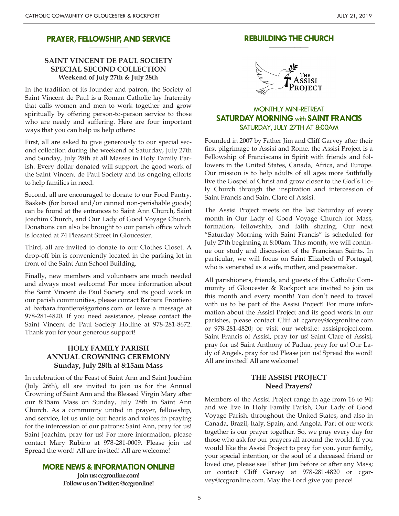#### **PRAYER, FELLOWSHIP, AND SERVICE \_\_\_\_\_\_\_\_\_\_\_\_\_\_\_\_\_\_\_\_**

# **SAINT VINCENT DE PAUL SOCIETY SPECIAL SECOND COLLECTION Weekend of July 27th & July 28th**

In the tradition of its founder and patron, the Society of Saint Vincent de Paul is a Roman Catholic lay fraternity that calls women and men to work together and grow spiritually by offering person-to-person service to those who are needy and suffering. Here are four important ways that you can help us help others:

First, all are asked to give generously to our special second collection during the weekend of Saturday, July 27th and Sunday, July 28th at all Masses in Holy Family Parish. Every dollar donated will support the good work of the Saint Vincent de Paul Society and its ongoing efforts to help families in need.

Second, all are encouraged to donate to our Food Pantry. Baskets (for boxed and/or canned non-perishable goods) can be found at the entrances to Saint Ann Church, Saint Joachim Church, and Our Lady of Good Voyage Church. Donations can also be brought to our parish office which is located at 74 Pleasant Street in Gloucester.

Third, all are invited to donate to our Clothes Closet. A drop-off bin is conveniently located in the parking lot in front of the Saint Ann School Building.

Finally, new members and volunteers are much needed and always most welcome! For more information about the Saint Vincent de Paul Society and its good work in our parish communities, please contact Barbara Frontiero at barbara.frontiero@gortons.com or leave a message at 978-281-4820. If you need assistance, please contact the Saint Vincent de Paul Society Hotline at 978-281-8672. Thank you for your generous support!

## **HOLY FAMILY PARISH ANNUAL CROWNING CEREMONY Sunday, July 28th at 8:15am Mass**

In celebration of the Feast of Saint Ann and Saint Joachim (July 26th), all are invited to join us for the Annual Crowning of Saint Ann and the Blessed Virgin Mary after our 8:15am Mass on Sunday, July 28th in Saint Ann Church. As a community united in prayer, fellowship, and service, let us unite our hearts and voices in praying for the intercession of our patrons: Saint Ann, pray for us! Saint Joachim, pray for us! For more information, please contact Mary Rubino at 978-281-0009. Please join us! Spread the word! All are invited! All are welcome!

#### **MORE NEWS & INFORMATION ONLINE!**

**Join us: ccgronline.com! Follow us on Twitter: @ccgronline!**

#### **REBUILDING THE CHURCH \_\_\_\_\_\_\_\_\_\_\_\_\_\_\_\_\_\_\_\_**



# MONTHLY MINI-RETREAT **SATURDAY MORNING** with **SAINT FRANCIS** SATURDAY, JULY 27TH AT 8:00AM

Founded in 2007 by Father Jim and Cliff Garvey after their first pilgrimage to Assisi and Rome, the Assisi Project is a Fellowship of Franciscans in Spirit with friends and followers in the United States, Canada, Africa, and Europe. Our mission is to help adults of all ages more faithfully live the Gospel of Christ and grow closer to the God's Holy Church through the inspiration and intercession of Saint Francis and Saint Clare of Assisi.

The Assisi Project meets on the last Saturday of every month in Our Lady of Good Voyage Church for Mass, formation, fellowship, and faith sharing. Our next "Saturday Morning with Saint Francis" is scheduled for July 27th beginning at 8:00am. This month, we will continue our study and discussion of the Franciscan Saints. In particular, we will focus on Saint Elizabeth of Portugal, who is venerated as a wife, mother, and peacemaker.

All parishioners, friends, and guests of the Catholic Community of Gloucester & Rockport are invited to join us this month and every month! You don't need to travel with us to be part of the Assisi Project! For more information about the Assisi Project and its good work in our parishes, please contact Cliff at cgarvey@ccgronline.com or 978-281-4820; or visit our website: assisiproject.com. Saint Francis of Assisi, pray for us! Saint Clare of Assisi, pray for us! Saint Anthony of Padua, pray for us! Our Lady of Angels, pray for us! Please join us! Spread the word! All are invited! All are welcome!

### **THE ASSISI PROJECT Need Prayers?**

Members of the Assisi Project range in age from 16 to 94; and we live in Holy Family Parish, Our Lady of Good Voyage Parish, throughout the United States, and also in Canada, Brazil, Italy, Spain, and Angola. Part of our work together is our prayer together. So, we pray every day for those who ask for our prayers all around the world. If you would like the Assisi Project to pray for you, your family, your special intention, or the soul of a deceased friend or loved one, please see Father Jim before or after any Mass; or contact Cliff Garvey at 978-281-4820 or cgarvey@ccgronline.com. May the Lord give you peace!